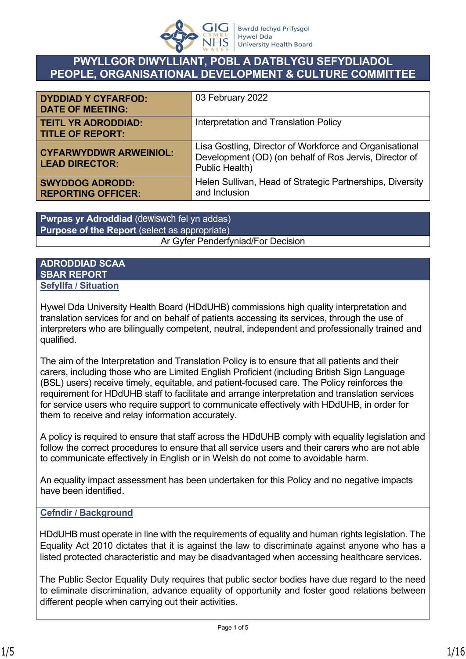

# **PWYLLGOR DIWYLLIANT, POBL A DATBLYGU SEFYDLIADOL PEOPLE, ORGANISATIONAL DEVELOPMENT & CULTURE COMMITTEE**

| <b>DYDDIAD Y CYFARFOD:</b><br><b>DATE OF MEETING:</b>  | 03 February 2022                                                                                                                    |
|--------------------------------------------------------|-------------------------------------------------------------------------------------------------------------------------------------|
| <b>TEITL YR ADRODDIAD:</b><br><b>TITLE OF REPORT:</b>  | Interpretation and Translation Policy                                                                                               |
| <b>CYFARWYDDWR ARWEINIOL:</b><br><b>LEAD DIRECTOR:</b> | Lisa Gostling, Director of Workforce and Organisational<br>Development (OD) (on behalf of Ros Jervis, Director of<br>Public Health) |
| <b>SWYDDOG ADRODD:</b><br><b>REPORTING OFFICER:</b>    | Helen Sullivan, Head of Strategic Partnerships, Diversity<br>and Inclusion                                                          |

**Pwrpas yr Adroddiad** (dewiswch fel yn addas) **Purpose of the Report** (select as appropriate) Ar Gyfer Penderfyniad/For Decision

#### **ADRODDIAD SCAA SBAR REPORT Sefyllfa / Situation**

Hywel Dda University Health Board (HDdUHB) commissions high quality interpretation and translation services for and on behalf of patients accessing its services, through the use of interpreters who are bilingually competent, neutral, independent and professionally trained and qualified.

The aim of the Interpretation and Translation Policy is to ensure that all patients and their carers, including those who are Limited English Proficient (including British Sign Language (BSL) users) receive timely, equitable, and patient-focused care. The Policy reinforces the requirement for HDdUHB staff to facilitate and arrange interpretation and translation services for service users who require support to communicate effectively with HDdUHB, in order for them to receive and relay information accurately.

A policy is required to ensure that staff across the HDdUHB comply with equality legislation and follow the correct procedures to ensure that all service users and their carers who are not able to communicate effectively in English or in Welsh do not come to avoidable harm.

An equality impact assessment has been undertaken for this Policy and no negative impacts have been identified.

## **Cefndir / Background**

HDdUHB must operate in line with the requirements of equality and human rights legislation. The Equality Act 2010 dictates that it is against the law to discriminate against anyone who has a listed protected characteristic and may be disadvantaged when accessing healthcare services.

The Public Sector Equality Duty requires that public sector bodies have due regard to the need to eliminate discrimination, advance equality of opportunity and foster good relations between different people when carrying out their activities.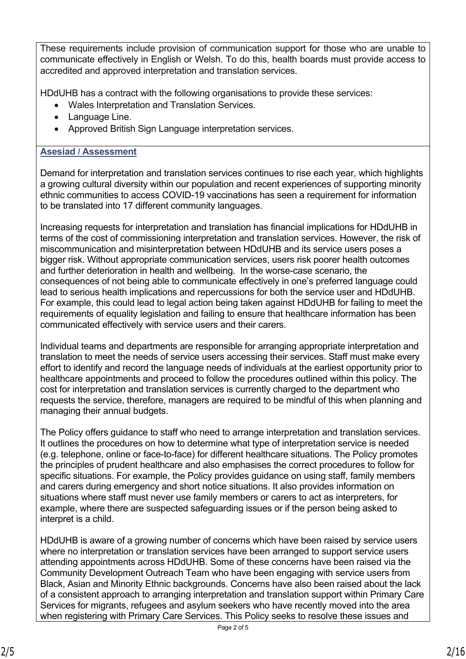These requirements include provision of communication support for those who are unable to communicate effectively in English or Welsh. To do this, health boards must provide access to accredited and approved interpretation and translation services.

HDdUHB has a contract with the following organisations to provide these services:

- Wales Interpretation and Translation Services.
- Language Line.
- Approved British Sign Language interpretation services.

#### **Asesiad / Assessment**

Demand for interpretation and translation services continues to rise each year, which highlights a growing cultural diversity within our population and recent experiences of supporting minority ethnic communities to access COVID-19 vaccinations has seen a requirement for information to be translated into 17 different community languages.

Increasing requests for interpretation and translation has financial implications for HDdUHB in terms of the cost of commissioning interpretation and translation services. However, the risk of miscommunication and misinterpretation between HDdUHB and its service users poses a bigger risk. Without appropriate communication services, users risk poorer health outcomes and further deterioration in health and wellbeing. In the worse-case scenario, the consequences of not being able to communicate effectively in one's preferred language could lead to serious health implications and repercussions for both the service user and HDdUHB. For example, this could lead to legal action being taken against HDdUHB for failing to meet the requirements of equality legislation and failing to ensure that healthcare information has been communicated effectively with service users and their carers.

Individual teams and departments are responsible for arranging appropriate interpretation and translation to meet the needs of service users accessing their services. Staff must make every effort to identify and record the language needs of individuals at the earliest opportunity prior to healthcare appointments and proceed to follow the procedures outlined within this policy. The cost for interpretation and translation services is currently charged to the department who requests the service, therefore, managers are required to be mindful of this when planning and managing their annual budgets.

The Policy offers guidance to staff who need to arrange interpretation and translation services. It outlines the procedures on how to determine what type of interpretation service is needed (e.g. telephone, online or face-to-face) for different healthcare situations. The Policy promotes the principles of prudent healthcare and also emphasises the correct procedures to follow for specific situations. For example, the Policy provides guidance on using staff, family members and carers during emergency and short notice situations. It also provides information on situations where staff must never use family members or carers to act as interpreters, for example, where there are suspected safeguarding issues or if the person being asked to interpret is a child.

HDdUHB is aware of a growing number of concerns which have been raised by service users where no interpretation or translation services have been arranged to support service users attending appointments across HDdUHB. Some of these concerns have been raised via the Community Development Outreach Team who have been engaging with service users from Black, Asian and Minority Ethnic backgrounds. Concerns have also been raised about the lack of a consistent approach to arranging interpretation and translation support within Primary Care Services for migrants, refugees and asylum seekers who have recently moved into the area when registering with Primary Care Services. This Policy seeks to resolve these issues and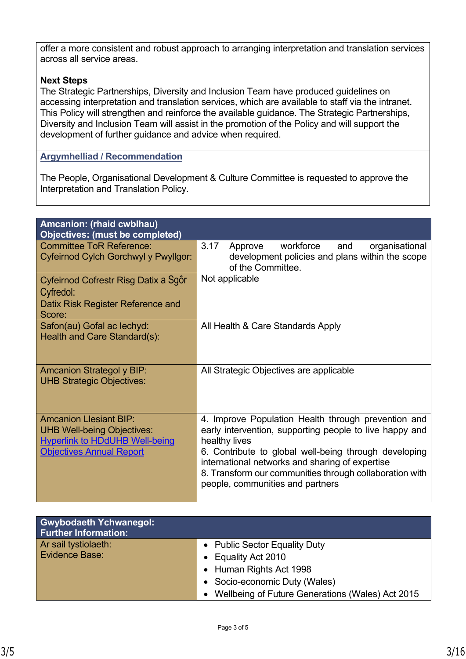offer a more consistent and robust approach to arranging interpretation and translation services across all service areas.

#### **Next Steps**

The Strategic Partnerships, Diversity and Inclusion Team have produced guidelines on accessing interpretation and translation services, which are available to staff via the intranet. This Policy will strengthen and reinforce the available guidance. The Strategic Partnerships, Diversity and Inclusion Team will assist in the promotion of the Policy and will support the development of further guidance and advice when required.

#### **Argymhelliad / Recommendation**

The People, Organisational Development & Culture Committee is requested to approve the Interpretation and Translation Policy.

| Amcanion: (rhaid cwblhau)<br><b>Objectives: (must be completed)</b> |                                                                      |
|---------------------------------------------------------------------|----------------------------------------------------------------------|
| <b>Committee ToR Reference:</b>                                     | 3.17<br>workforce<br>and<br>organisational<br>Approve                |
| Cyfeirnod Cylch Gorchwyl y Pwyllgor:                                | development policies and plans within the scope<br>of the Committee. |
| Cyfeirnod Cofrestr Risg Datix a Sgôr                                | Not applicable                                                       |
| Cyfredol:                                                           |                                                                      |
| Datix Risk Register Reference and                                   |                                                                      |
| Score:                                                              |                                                                      |
| Safon(au) Gofal ac lechyd:                                          | All Health & Care Standards Apply                                    |
| Health and Care Standard(s):                                        |                                                                      |
|                                                                     |                                                                      |
|                                                                     |                                                                      |
| <b>Amcanion Strategol y BIP:</b>                                    | All Strategic Objectives are applicable                              |
| <b>UHB Strategic Objectives:</b>                                    |                                                                      |
|                                                                     |                                                                      |
|                                                                     |                                                                      |
| <b>Amcanion Llesiant BIP:</b>                                       | 4. Improve Population Health through prevention and                  |
| <b>UHB Well-being Objectives:</b>                                   | early intervention, supporting people to live happy and              |
| <b>Hyperlink to HDdUHB Well-being</b>                               | healthy lives                                                        |
| <b>Objectives Annual Report</b>                                     | 6. Contribute to global well-being through developing                |
|                                                                     | international networks and sharing of expertise                      |
|                                                                     | 8. Transform our communities through collaboration with              |
|                                                                     | people, communities and partners                                     |
|                                                                     |                                                                      |

| <b>Gwybodaeth Ychwanegol:</b><br><b>Further Information:</b> |                                                  |
|--------------------------------------------------------------|--------------------------------------------------|
| Ar sail tystiolaeth:                                         | • Public Sector Equality Duty                    |
| <b>Evidence Base:</b>                                        | • Equality Act 2010                              |
|                                                              | • Human Rights Act 1998                          |
|                                                              | • Socio-economic Duty (Wales)                    |
|                                                              | Wellbeing of Future Generations (Wales) Act 2015 |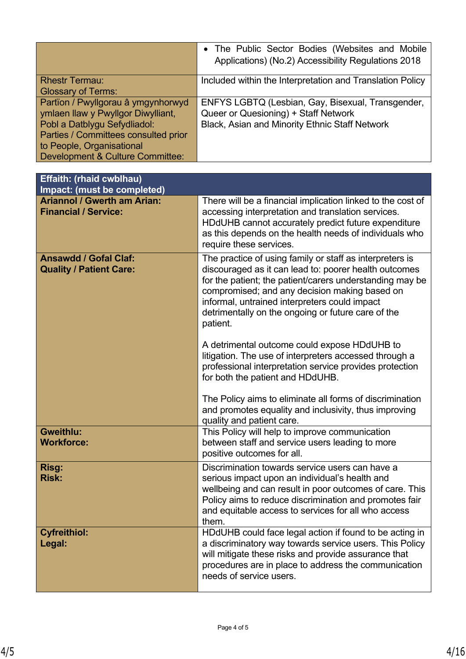|                                      | • The Public Sector Bodies (Websites and Mobile<br>Applications) (No.2) Accessibility Regulations 2018 |
|--------------------------------------|--------------------------------------------------------------------------------------------------------|
| <b>Rhestr Termau:</b>                | Included within the Interpretation and Translation Policy                                              |
| <b>Glossary of Terms:</b>            |                                                                                                        |
| Partïon / Pwyllgorau â ymgynhorwyd   | ENFYS LGBTQ (Lesbian, Gay, Bisexual, Transgender,                                                      |
| ymlaen llaw y Pwyllgor Diwylliant,   | Queer or Quesioning) + Staff Network                                                                   |
| Pobl a Datblygu Sefydliadol:         | <b>Black, Asian and Minority Ethnic Staff Network</b>                                                  |
| Parties / Committees consulted prior |                                                                                                        |
| to People, Organisational            |                                                                                                        |
| Development & Culture Committee:     |                                                                                                        |

| Effaith: (rhaid cwblhau)<br>Impact: (must be completed)           |                                                                                                                                                                                                                                                                                                                                                   |
|-------------------------------------------------------------------|---------------------------------------------------------------------------------------------------------------------------------------------------------------------------------------------------------------------------------------------------------------------------------------------------------------------------------------------------|
| <b>Ariannol / Gwerth am Arian:</b><br><b>Financial / Service:</b> | There will be a financial implication linked to the cost of<br>accessing interpretation and translation services.<br>HDdUHB cannot accurately predict future expenditure<br>as this depends on the health needs of individuals who<br>require these services.                                                                                     |
| <b>Ansawdd / Gofal Claf:</b><br><b>Quality / Patient Care:</b>    | The practice of using family or staff as interpreters is<br>discouraged as it can lead to: poorer health outcomes<br>for the patient; the patient/carers understanding may be<br>compromised; and any decision making based on<br>informal, untrained interpreters could impact<br>detrimentally on the ongoing or future care of the<br>patient. |
|                                                                   | A detrimental outcome could expose HDdUHB to<br>litigation. The use of interpreters accessed through a<br>professional interpretation service provides protection<br>for both the patient and HDdUHB.<br>The Policy aims to eliminate all forms of discrimination                                                                                 |
|                                                                   | and promotes equality and inclusivity, thus improving<br>quality and patient care.                                                                                                                                                                                                                                                                |
| <b>Gweithlu:</b><br><b>Workforce:</b>                             | This Policy will help to improve communication<br>between staff and service users leading to more<br>positive outcomes for all.                                                                                                                                                                                                                   |
| Risg:<br><b>Risk:</b>                                             | Discrimination towards service users can have a<br>serious impact upon an individual's health and<br>wellbeing and can result in poor outcomes of care. This<br>Policy aims to reduce discrimination and promotes fair<br>and equitable access to services for all who access<br>them.                                                            |
| <b>Cyfreithiol:</b><br>Legal:                                     | HDdUHB could face legal action if found to be acting in<br>a discriminatory way towards service users. This Policy<br>will mitigate these risks and provide assurance that<br>procedures are in place to address the communication<br>needs of service users.                                                                                     |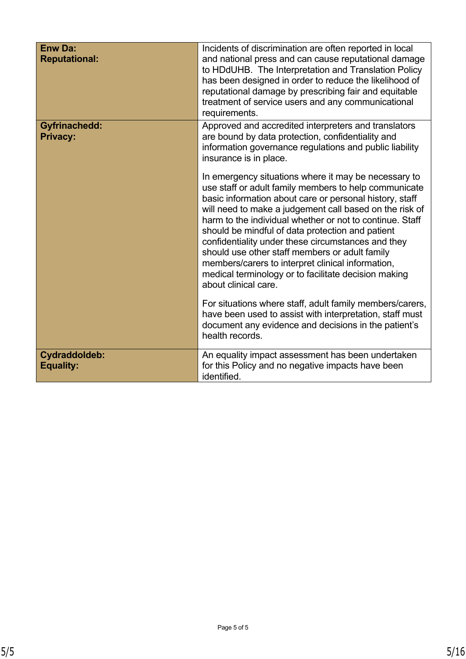| <b>Enw Da:</b><br><b>Reputational:</b>  | Incidents of discrimination are often reported in local<br>and national press and can cause reputational damage<br>to HDdUHB. The Interpretation and Translation Policy<br>has been designed in order to reduce the likelihood of<br>reputational damage by prescribing fair and equitable<br>treatment of service users and any communicational<br>requirements.                                                                                                                                                                                                                                |
|-----------------------------------------|--------------------------------------------------------------------------------------------------------------------------------------------------------------------------------------------------------------------------------------------------------------------------------------------------------------------------------------------------------------------------------------------------------------------------------------------------------------------------------------------------------------------------------------------------------------------------------------------------|
| <b>Gyfrinachedd:</b><br><b>Privacy:</b> | Approved and accredited interpreters and translators<br>are bound by data protection, confidentiality and<br>information governance regulations and public liability<br>insurance is in place.                                                                                                                                                                                                                                                                                                                                                                                                   |
|                                         | In emergency situations where it may be necessary to<br>use staff or adult family members to help communicate<br>basic information about care or personal history, staff<br>will need to make a judgement call based on the risk of<br>harm to the individual whether or not to continue. Staff<br>should be mindful of data protection and patient<br>confidentiality under these circumstances and they<br>should use other staff members or adult family<br>members/carers to interpret clinical information,<br>medical terminology or to facilitate decision making<br>about clinical care. |
|                                         | For situations where staff, adult family members/carers,<br>have been used to assist with interpretation, staff must<br>document any evidence and decisions in the patient's<br>health records.                                                                                                                                                                                                                                                                                                                                                                                                  |
| Cydraddoldeb:<br><b>Equality:</b>       | An equality impact assessment has been undertaken<br>for this Policy and no negative impacts have been<br>identified.                                                                                                                                                                                                                                                                                                                                                                                                                                                                            |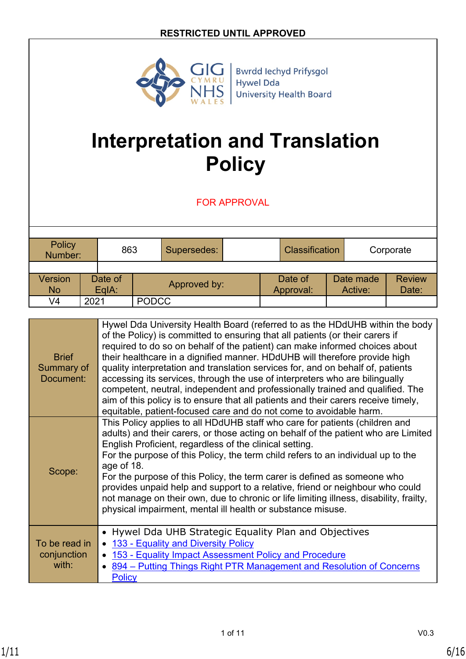

# **Interpretation and Translation Policy**

FOR APPROVAL

| Policy<br>Number:           |      | 863              |              | Supersedes: |  | <b>Classification</b> |                      | Corporate              |
|-----------------------------|------|------------------|--------------|-------------|--|-----------------------|----------------------|------------------------|
| <b>Version</b><br><b>No</b> |      | Date of<br>EqIA: | Approved by: |             |  | Date of<br>Approval:  | Date made<br>Active: | <b>Review</b><br>Date: |
| V4                          | 2021 |                  | <b>PODCC</b> |             |  |                       |                      |                        |

| <b>Brief</b><br>Summary of<br>Document: | Hywel Dda University Health Board (referred to as the HDdUHB within the body<br>of the Policy) is committed to ensuring that all patients (or their carers if<br>required to do so on behalf of the patient) can make informed choices about<br>their healthcare in a dignified manner. HDdUHB will therefore provide high<br>quality interpretation and translation services for, and on behalf of, patients<br>accessing its services, through the use of interpreters who are bilingually<br>competent, neutral, independent and professionally trained and qualified. The<br>aim of this policy is to ensure that all patients and their carers receive timely,<br>equitable, patient-focused care and do not come to avoidable harm. |
|-----------------------------------------|-------------------------------------------------------------------------------------------------------------------------------------------------------------------------------------------------------------------------------------------------------------------------------------------------------------------------------------------------------------------------------------------------------------------------------------------------------------------------------------------------------------------------------------------------------------------------------------------------------------------------------------------------------------------------------------------------------------------------------------------|
| Scope:                                  | This Policy applies to all HDdUHB staff who care for patients (children and<br>adults) and their carers, or those acting on behalf of the patient who are Limited<br>English Proficient, regardless of the clinical setting.<br>For the purpose of this Policy, the term child refers to an individual up to the<br>age of 18.<br>For the purpose of this Policy, the term carer is defined as someone who<br>provides unpaid help and support to a relative, friend or neighbour who could<br>not manage on their own, due to chronic or life limiting illness, disability, frailty,<br>physical impairment, mental ill health or substance misuse.                                                                                      |
| To be read in<br>conjunction<br>with:   | Hywel Dda UHB Strategic Equality Plan and Objectives<br>133 - Equality and Diversity Policy<br>153 - Equality Impact Assessment Policy and Procedure<br>894 – Putting Things Right PTR Management and Resolution of Concerns<br><b>Policy</b>                                                                                                                                                                                                                                                                                                                                                                                                                                                                                             |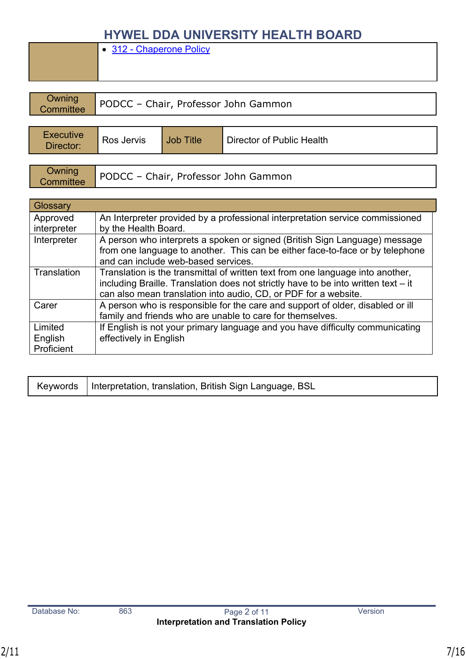• [312 - Chaperone Policy](http://howis.wales.nhs.uk/sitesplus/documents/862/312-ChaperoneProcedure-v2%20FINAL.pdf)

| Owning<br>PODCC - Chair, Professor John Gammon<br>Committee |            |           |                           |  |
|-------------------------------------------------------------|------------|-----------|---------------------------|--|
| <b>Executive</b><br>Director:                               | Ros Jervis | Job Title | Director of Public Health |  |

| Owning<br>Committee | PODCC - Chair, Professor John Gammon |
|---------------------|--------------------------------------|
|---------------------|--------------------------------------|

| Glossary    |                                                                                                                      |
|-------------|----------------------------------------------------------------------------------------------------------------------|
| Approved    | An Interpreter provided by a professional interpretation service commissioned                                        |
| interpreter | by the Health Board.                                                                                                 |
| Interpreter | A person who interprets a spoken or signed (British Sign Language) message                                           |
|             | from one language to another. This can be either face-to-face or by telephone<br>and can include web-based services. |
| Translation | Translation is the transmittal of written text from one language into another,                                       |
|             | including Braille. Translation does not strictly have to be into written text - it                                   |
|             | can also mean translation into audio, CD, or PDF for a website.                                                      |
| Carer       | A person who is responsible for the care and support of older, disabled or ill                                       |
|             | family and friends who are unable to care for themselves.                                                            |
| Limited     | If English is not your primary language and you have difficulty communicating                                        |
| English     | effectively in English                                                                                               |
| Proficient  |                                                                                                                      |

|  | Keywords   Interpretation, translation, British Sign Language, BSL |
|--|--------------------------------------------------------------------|
|--|--------------------------------------------------------------------|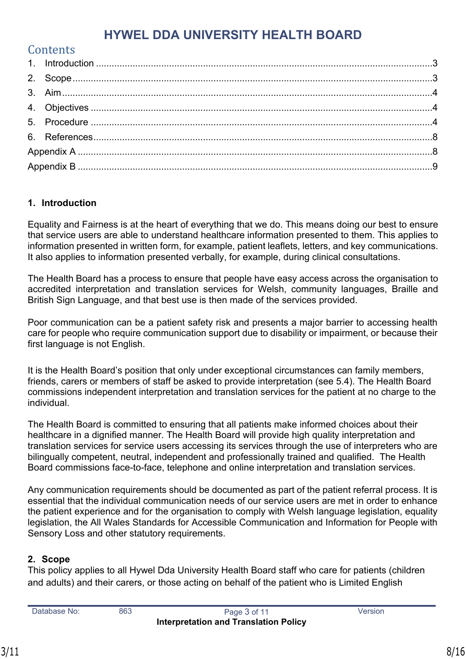| Contents |  |
|----------|--|
|          |  |
|          |  |
|          |  |
|          |  |
|          |  |
|          |  |
|          |  |
|          |  |

#### <span id="page-7-0"></span>**1. Introduction**

Equality and Fairness is at the heart of everything that we do. This means doing our best to ensure that service users are able to understand healthcare information presented to them. This applies to information presented in written form, for example, patient leaflets, letters, and key communications. It also applies to information presented verbally, for example, during clinical consultations.

The Health Board has a process to ensure that people have easy access across the organisation to accredited interpretation and translation services for Welsh, community languages, Braille and British Sign Language, and that best use is then made of the services provided.

Poor communication can be a patient safety risk and presents a major barrier to accessing health care for people who require communication support due to disability or impairment, or because their first language is not English.

It is the Health Board's position that only under exceptional circumstances can family members, friends, carers or members of staff be asked to provide interpretation (see 5.4). The Health Board commissions independent interpretation and translation services for the patient at no charge to the individual.

The Health Board is committed to ensuring that all patients make informed choices about their healthcare in a dignified manner. The Health Board will provide high quality interpretation and translation services for service users accessing its services through the use of interpreters who are bilingually competent, neutral, independent and professionally trained and qualified. The Health Board commissions face-to-face, telephone and online interpretation and translation services.

Any communication requirements should be documented as part of the patient referral process. It is essential that the individual communication needs of our service users are met in order to enhance the patient experience and for the organisation to comply with Welsh language legislation, equality legislation, the All Wales Standards for Accessible Communication and Information for People with Sensory Loss and other statutory requirements.

## <span id="page-7-1"></span>**2. Scope**

This policy applies to all Hywel Dda University Health Board staff who care for patients (children and adults) and their carers, or those acting on behalf of the patient who is Limited English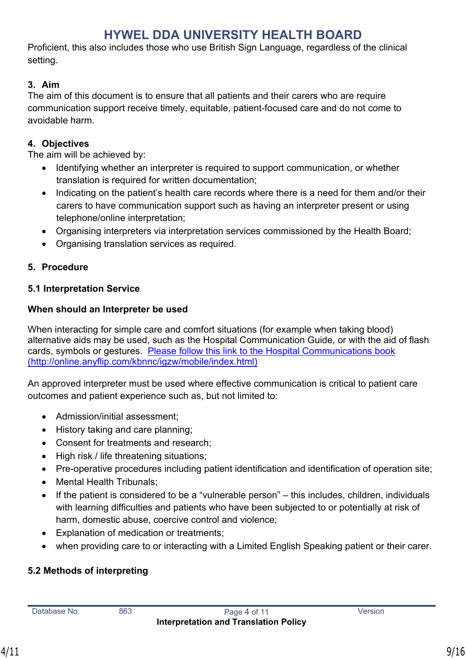Proficient, this also includes those who use British Sign Language, regardless of the clinical setting.

## <span id="page-8-0"></span>**3. Aim**

The aim of this document is to ensure that all patients and their carers who are require communication support receive timely, equitable, patient-focused care and do not come to avoidable harm.

## <span id="page-8-1"></span>**4. Objectives**

The aim will be achieved by:

- Identifying whether an interpreter is required to support communication, or whether translation is required for written documentation;
- Indicating on the patient's health care records where there is a need for them and/or their carers to have communication support such as having an interpreter present or using telephone/online interpretation;
- Organising interpreters via interpretation services commissioned by the Health Board;
- Organising translation services as required.

# <span id="page-8-2"></span>**5. Procedure**

## **5.1 Interpretation Service**

## **When should an Interpreter be used**

When interacting for simple care and comfort situations (for example when taking blood) alternative aids may be used, such as the Hospital Communication Guide, or with the aid of flash cards, symbols or gestures. [Please follow this link to the Hospital Communications book](http://online.anyflip.com/kbnnc/igzw/mobile/index.html)  [\(http://online.anyflip.com/kbnnc/igzw/mobile/index.html\)](http://online.anyflip.com/kbnnc/igzw/mobile/index.html)

An approved interpreter must be used where effective communication is critical to patient care outcomes and patient experience such as, but not limited to:

- Admission/initial assessment:
- History taking and care planning;
- Consent for treatments and research;
- High risk / life threatening situations;
- Pre-operative procedures including patient identification and identification of operation site;
- Mental Health Tribunals;
- If the patient is considered to be a "vulnerable person" this includes, children, individuals with learning difficulties and patients who have been subjected to or potentially at risk of harm, domestic abuse, coercive control and violence;
- Explanation of medication or treatments;
- when providing care to or interacting with a Limited English Speaking patient or their carer.

# **5.2 Methods of interpreting**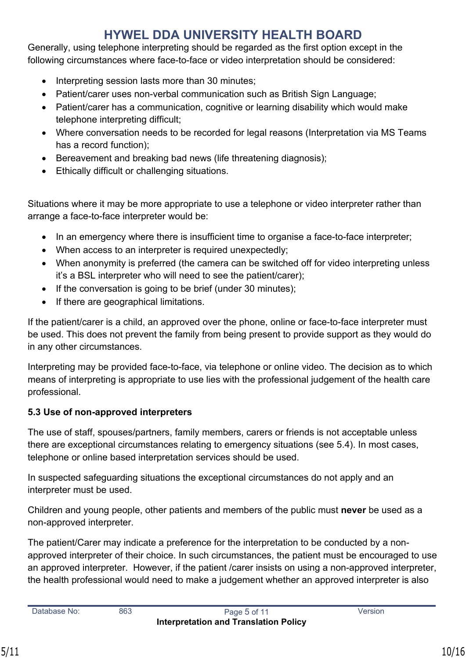Generally, using telephone interpreting should be regarded as the first option except in the following circumstances where face-to-face or video interpretation should be considered:

- Interpreting session lasts more than 30 minutes;
- Patient/carer uses non-verbal communication such as British Sign Language;
- Patient/carer has a communication, cognitive or learning disability which would make telephone interpreting difficult;
- Where conversation needs to be recorded for legal reasons (Interpretation via MS Teams has a record function);
- Bereavement and breaking bad news (life threatening diagnosis);
- Ethically difficult or challenging situations.

Situations where it may be more appropriate to use a telephone or video interpreter rather than arrange a face-to-face interpreter would be:

- In an emergency where there is insufficient time to organise a face-to-face interpreter;
- When access to an interpreter is required unexpectedly;
- When anonymity is preferred (the camera can be switched off for video interpreting unless it's a BSL interpreter who will need to see the patient/carer);
- If the conversation is going to be brief (under 30 minutes);
- If there are geographical limitations.

If the patient/carer is a child, an approved over the phone, online or face-to-face interpreter must be used. This does not prevent the family from being present to provide support as they would do in any other circumstances.

Interpreting may be provided face-to-face, via telephone or online video. The decision as to which means of interpreting is appropriate to use lies with the professional judgement of the health care professional.

# **5.3 Use of non-approved interpreters**

The use of staff, spouses/partners, family members, carers or friends is not acceptable unless there are exceptional circumstances relating to emergency situations (see 5.4). In most cases, telephone or online based interpretation services should be used.

In suspected safeguarding situations the exceptional circumstances do not apply and an interpreter must be used.

Children and young people, other patients and members of the public must **never** be used as a non-approved interpreter.

The patient/Carer may indicate a preference for the interpretation to be conducted by a nonapproved interpreter of their choice. In such circumstances, the patient must be encouraged to use an approved interpreter. However, if the patient /carer insists on using a non-approved interpreter, the health professional would need to make a judgement whether an approved interpreter is also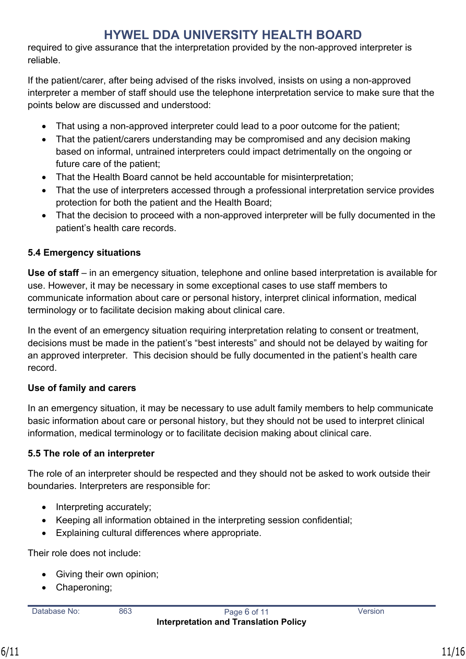required to give assurance that the interpretation provided by the non-approved interpreter is reliable.

If the patient/carer, after being advised of the risks involved, insists on using a non-approved interpreter a member of staff should use the telephone interpretation service to make sure that the points below are discussed and understood:

- That using a non-approved interpreter could lead to a poor outcome for the patient;
- That the patient/carers understanding may be compromised and any decision making based on informal, untrained interpreters could impact detrimentally on the ongoing or future care of the patient;
- That the Health Board cannot be held accountable for misinterpretation;
- That the use of interpreters accessed through a professional interpretation service provides protection for both the patient and the Health Board;
- That the decision to proceed with a non-approved interpreter will be fully documented in the patient's health care records.

# **5.4 Emergency situations**

**Use of staff** – in an emergency situation, telephone and online based interpretation is available for use. However, it may be necessary in some exceptional cases to use staff members to communicate information about care or personal history, interpret clinical information, medical terminology or to facilitate decision making about clinical care.

In the event of an emergency situation requiring interpretation relating to consent or treatment, decisions must be made in the patient's "best interests" and should not be delayed by waiting for an approved interpreter. This decision should be fully documented in the patient's health care record.

## **Use of family and carers**

In an emergency situation, it may be necessary to use adult family members to help communicate basic information about care or personal history, but they should not be used to interpret clinical information, medical terminology or to facilitate decision making about clinical care.

## **5.5 The role of an interpreter**

The role of an interpreter should be respected and they should not be asked to work outside their boundaries. Interpreters are responsible for:

- $\bullet$  Interpreting accurately;
- Keeping all information obtained in the interpreting session confidential;
- Explaining cultural differences where appropriate.

Their role does not include:

- Giving their own opinion;
- Chaperoning: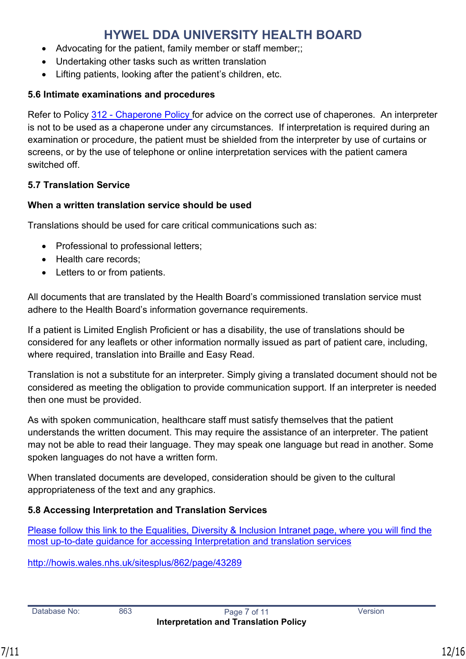- Advocating for the patient, family member or staff member;;
- Undertaking other tasks such as written translation
- Lifting patients, looking after the patient's children, etc.

#### **5.6 Intimate examinations and procedures**

Refer to Policy [312 - Chaperone Policy](http://howis.wales.nhs.uk/sitesplus/documents/862/312-ChaperoneProcedure-v2%20FINAL.pdf) for advice on the correct use of chaperones. An interpreter is not to be used as a chaperone under any circumstances. If interpretation is required during an examination or procedure, the patient must be shielded from the interpreter by use of curtains or screens, or by the use of telephone or online interpretation services with the patient camera switched off.

### **5.7 Translation Service**

### **When a written translation service should be used**

Translations should be used for care critical communications such as:

- Professional to professional letters;
- Health care records:
- Letters to or from patients.

All documents that are translated by the Health Board's commissioned translation service must adhere to the Health Board's information governance requirements.

If a patient is Limited English Proficient or has a disability, the use of translations should be considered for any leaflets or other information normally issued as part of patient care, including, where required, translation into Braille and Easy Read.

Translation is not a substitute for an interpreter. Simply giving a translated document should not be considered as meeting the obligation to provide communication support. If an interpreter is needed then one must be provided.

As with spoken communication, healthcare staff must satisfy themselves that the patient understands the written document. This may require the assistance of an interpreter. The patient may not be able to read their language. They may speak one language but read in another. Some spoken languages do not have a written form.

When translated documents are developed, consideration should be given to the cultural appropriateness of the text and any graphics.

## **5.8 Accessing Interpretation and Translation Services**

[Please follow this link to the Equalities, Diversity & Inclusion Intranet page, where you will find the](http://howis.wales.nhs.uk/sitesplus/862/page/43289)  [most up-to-date guidance for accessing Interpretation and translation services](http://howis.wales.nhs.uk/sitesplus/862/page/43289)

<http://howis.wales.nhs.uk/sitesplus/862/page/43289>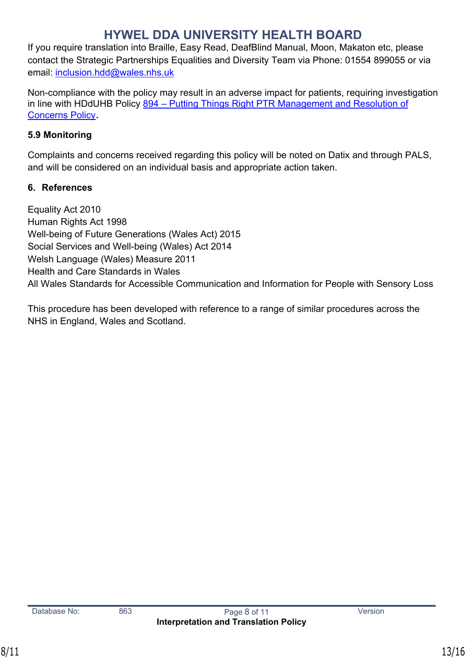If you require translation into Braille, Easy Read, DeafBlind Manual, Moon, Makaton etc, please contact the Strategic Partnerships Equalities and Diversity Team via Phone: 01554 899055 or via email: [inclusion.hdd@wales.nhs.uk](mailto:inclusion.hdd@wales.nhs.uk)

Non-compliance with the policy may result in an adverse impact for patients, requiring investigation in line with HDdUHB Policy 894 – Putting Things Right PTR Management and Resolution of [Concerns Policy](https://hduhb.nhs.wales/about-us/governance-arrangements/policies-and-written-control-documents/policies/incident-near-miss-and-hazard-reporting-procedure/).

# **5.9 Monitoring**

Complaints and concerns received regarding this policy will be noted on Datix and through PALS, and will be considered on an individual basis and appropriate action taken.

# <span id="page-12-0"></span>**6. References**

Equality Act 2010 Human Rights Act 1998 Well-being of Future Generations (Wales Act) 2015 Social Services and Well-being (Wales) Act 2014 Welsh Language (Wales) Measure 2011 Health and Care Standards in Wales All Wales Standards for Accessible Communication and Information for People with Sensory Loss

This procedure has been developed with reference to a range of similar procedures across the NHS in England, Wales and Scotland.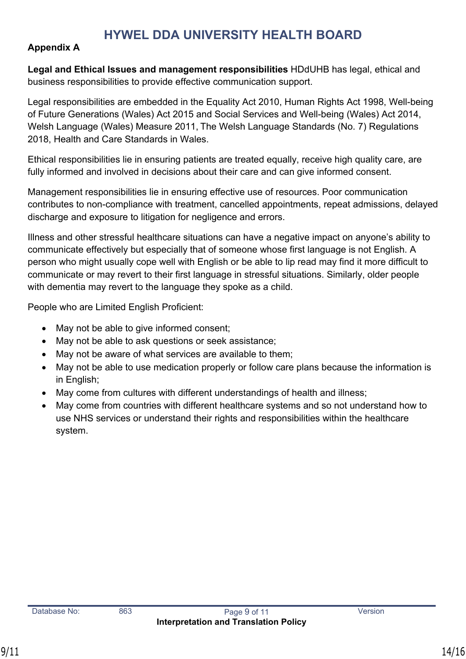### <span id="page-13-0"></span>**Appendix A**

**Legal and Ethical Issues and management responsibilities** HDdUHB has legal, ethical and business responsibilities to provide effective communication support.

Legal responsibilities are embedded in the Equality Act 2010, Human Rights Act 1998, Well-being of Future Generations (Wales) Act 2015 and Social Services and Well-being (Wales) Act 2014, Welsh Language (Wales) Measure 2011, The Welsh Language Standards (No. 7) Regulations 2018, Health and Care Standards in Wales.

Ethical responsibilities lie in ensuring patients are treated equally, receive high quality care, are fully informed and involved in decisions about their care and can give informed consent.

Management responsibilities lie in ensuring effective use of resources. Poor communication contributes to non-compliance with treatment, cancelled appointments, repeat admissions, delayed discharge and exposure to litigation for negligence and errors.

Illness and other stressful healthcare situations can have a negative impact on anyone's ability to communicate effectively but especially that of someone whose first language is not English. A person who might usually cope well with English or be able to lip read may find it more difficult to communicate or may revert to their first language in stressful situations. Similarly, older people with dementia may revert to the language they spoke as a child.

People who are Limited English Proficient:

- May not be able to give informed consent;
- May not be able to ask questions or seek assistance;
- May not be aware of what services are available to them;
- May not be able to use medication properly or follow care plans because the information is in English;
- May come from cultures with different understandings of health and illness;
- May come from countries with different healthcare systems and so not understand how to use NHS services or understand their rights and responsibilities within the healthcare system.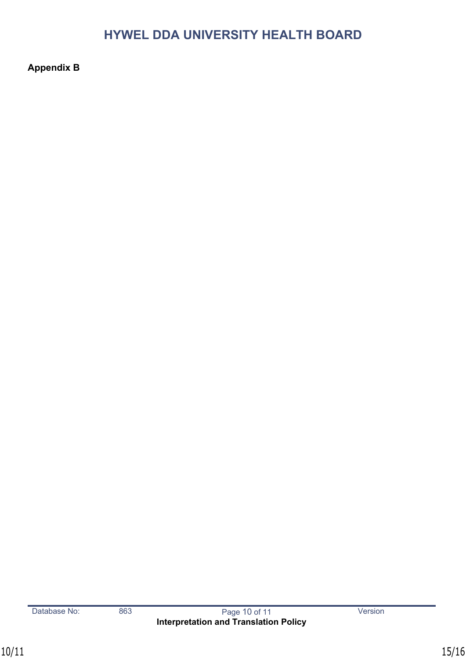<span id="page-14-0"></span>**Appendix B**